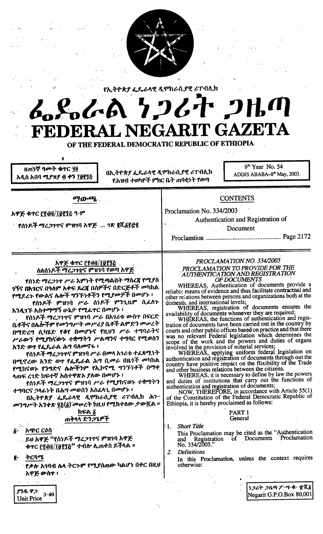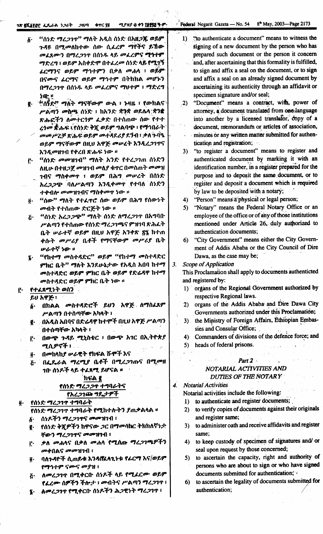#### ሚያዝያ ፴ ቀን ፲፱፻፳፩ ዓ-ም-18 FLSTEE LL-6A 1267 2HM ቁጥር ያ፪

**Federal Negarit Gazeta** — No. 54 8<sup>th</sup> May, 2003-Page 2173

- "ሰነድ ማረ*ጋገ*ሞ" ማለት አዲስ ሰነድ በአዘ**ጋጁ ወይም** δ. ጉዳዩ በሚመለከተው ሰው ሲፌረም ማየትና ይኸው መፈጸሙን በማረጋገጥ በሰነዱ ላይ መፈረምና ሚጎተም ማድረግ ፣ ወይም አስቀድሞ በተፈረመ ሰነድ ላይ የሚገኝ ፊርማንና ወይም ማኅተምን በቃለ **መሐላ ፣** ወይም በናሙና ፊርማና ወይም ማኅተም በትክክል መሆኑን በማረጋገጥ በሰነዱ ላይ መፈረምና ማህተም ፣ ማድረግ ነው ።
- e. "ሰኝደ" ማለት ማናቸውም ውል ፣ ኑዛዚ ፣ የውክልና ሥልጣን መስጫ ሰንድ ፣ ከአንድ ቋንቋ ወደሴላ ቋንቋ ጽሑፎችን ለመተርጎም ፌቃድ በተሰጠው ሰው የተተ *ረጎመ እ*.ሑፍ ፣የሰነድ ቅጀ ወይም ግልባጭ ፣ የማኅበራት ' መመሥረቻ ጽሑፍ ወይም መተዳደሪያ ደኝብ ፣ ቃለ ጉባዔ ወይም ማናቸውም በዚህ አዋጅ መሥፈት እንዲረጋገጥና እንዲመዘገብ የቀረበ ጽሑፍ ነው ።
- <u>၉. "ሰነድ መመዝገብ" ማለት አንድ የተረጋገጠ ሰነድን</u> ለዚሁ በተዘ*ጋጀ መዝገ*ብ መሰ*ያ* ቁጥር በመስጠት መመዝ *ገ*ብና ማስቀመጥ ፣ ወይም በሕግ መሠረት በሰነድ አረ22ው ባለሥልጣን እንዲቀመዋ የተባለ ሰነድን ተቀብሎ መመዝንብና ማስቀመጥ ነው ፡፡
- "ሰው" ማለት የተፈዋሮ ሰው ወይም በሕግ የሰውነት Õ٠. መብት የተሰጠው ድርጅት ነው ፡፡
- "ሰነድ አረ*ጋጋጭ" ማ*ለት ሰነድ ለማረ*ጋገ*ጥ በአግባቡ Ë. ሥልጣን የተሰጠው የሰንድ ማረ*ጋገ*ጫና ምዝገባ ጽሕፈት ቤት ሥራተኛ ወይም በዚህ አዋጅ አንቀጽ ፳፯ ከተጠ ቀሱት *መሥሪያ* ቤቶች የማናቸውም *መሥሪያ* ቤት ሥራተኛ ነው ፡፡
- ፤ "የከተማ መስተዳድር" ወይም "የከተማ መስተዳድር ምክር ቤት" ማለት እንደሁኔታው የአዲስ አበባ ከተማ መስተዳድር ወይም ምክር ቤት ወይም የድሬዳዋ ከተማ መስተዳድር ወይም ምክር ቤት ነው ፡፡
- የተፈጸሚነት ወሰን ę.
	- ይሀ አዋጅ ፣ ፩· በክልል መስተዳድሮች ይህን አዋጅ ለማስፈጸም ሥልጣን በተሰጣቸው አካላት ፣
	- g - በአዲስ አበባና በድሬዳዋ ከተሞች በዚህ አዋጅ ሥልጣን በተሰጣቸው አካላት ፣
	- በውጭ ጉዳይ ሚኒስቴር ፣ በውጭ አገር በኢትዮጵያ j. ሚሲዎኖች ፣
	- በመከላከያ ሥራዊት የከፍል ሹሞች እና ő٠
	- በፌዴራል ማረሚያ ቤቶች በሚረጋገጡና በሚመዘ  $\mathbf{g}$ . ገበ ሰነዶች ላይ ተፈጸ**ሚ ይሆናል ።**

# hፍል ፪

#### የሰነድ ማሪጋጋዋ ተግባራትና የአረጋገው ግዴታዎች

የሰነድ ማረጋገዋ ተግባራት  $\ddot{\mathbf{0}}$  . የሰነድ ማረ*ጋገ*ጥ ተግባራት የሚከተሉትን ያጠቃልሳል ፡፡ ሰነዶችን ማረ*ጋገ*ጥና *መመ*ዝገብ ፣ δ.

- የሰነድ ቅጂዎችን ከዋናው *ጋ*ር በማመሳከር ትክክለኛነ*ታ*፣ ğ. ቸውን ማረጋገጥና መመዝገብ ፣
- ቃለ መሐላና በቃለ መሐላ የሚሰጡ ማሪጋገጫዎችን i٠. መቀበልና መመዝገብ ፣
- ባለጉዳዮች ሲጠይቁ እንዳሸፌላኂነቱ የፌርማ እና/ወይም  $\ddot{\mathbf{0}}$  . የማኅተም ናሙና መያዝ ፣
- ለመረጋገዋ በሚቀርቡ ሰነዶች ላይ የሚፈርሙ ወይም  $\boldsymbol{\tilde{G}}$ . የፌረሙ ሰዎችን ችሎታ ፣ መብትና ሥልጣን ማረጋገጥ ፣
- ለመረጋገጥ የሚቀርበ ሰነዶችን ሕጋዊነት ማረጋገጥ ፣  $\mathbf{F}$  .
- "to authenticate a document" means to witness the  $1$ signing of a new document by the person who has prepared such document or the person it concern and, after ascertaining that this formality is fulfilled, to sign and affix a seal on the document, or to sign and affix a seal on an already signed document by ascertaining its authenticity through an affidavit or specimen signature and/or seal;
- "Document" means a contract, with, power of  $.2)$ attorney, a document translated from one-language into another by a licensed translator, copy of a document, memorandum or articles of association, minutes or any written matter submitted for authentication and registration;
- "to register a document" means to register and  $3)$ authenticated document by marking it with an identification number, in a register prepared for the purpose and to deposit the same document, or to register and deposit a document which is required by law to be deposited with a notary;
- "Person" means a physical or legal person;  $4)$
- 5) "Notary" means the Federal Notary Office or an employee of the office or of any of those institutions mentioned under Article 26, duly authorized to authentication documents;
- 6) "City Government" means either the City Government of Addis Ababa or the City Council of Dire Dawa, as the case may be;
- $3.$ Scope of Application

This Proclamation shall apply to documents authenticted and registered by:

- 1) organs of the Regional Government authorized by respective Regional laws.
- organs of the Addis Ababa and Dire Dawa City  $2)$ Governments authorized under this Proclamation;
- the Ministry of Foreign Affairs, Ethiopian Embas- $3)$ sies and Consular Office;
- 4) Commanders of divisions of the defence force; and
- 5) heads of federal prisons.

## Part  $2 \times$

#### NOTARIAL ACTIVITIES AND **DUTIES OF THE NOTARY**

**Notarial Activities** 

 $\overline{\mathbf{4}}$ .

Notarial activities include the following:

- to authenticate and register documents;  $\bf{I}$ )
- to verify copies of documents against their originals  $2)$ and register same;
- to administer oath and receive affidavits and register  $3)$ same:
- to keep custody of specimen of signatures and/ or  $4)$ seal upon request by those concerned;
- 5) to ascertain the capacity, right and authority of persons who are about to sign or who have signed documents submitted for authentication;
- to ascertain the legality of documents submitted for 6). authentication;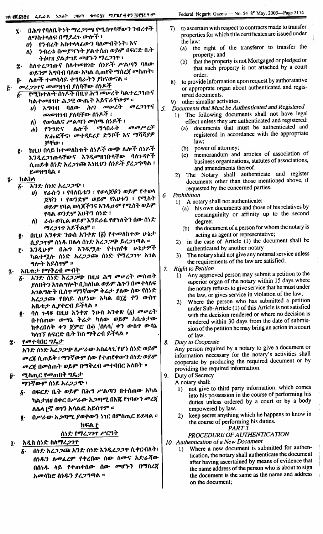- በሕግ የባለቤትነት ማረ*ጋገጫ የሚ*ሰተባቸውን ንብረቶች ï. ለማስተላለፍ በሚደረጉ ውሎች ፣
	- የንብረት አስተላላፊውን ባለመብትነት፣ እና  $\boldsymbol{\theta}$
	- ንብረቱ በመያዣነት ያልተሰጠ ወይም በፍርድ ቤት  $\Lambda$ ትዕዛዝ ያልታገደ መሆኑን ማረጋገጥ ፣
- ስለተረ*ጋገ*ጡና ስለተመዘገቡ ሰነዶች ሥልጣን ባለው Ĵ. ወይንም አግባብ ባለው አካል ሲጠየቅ ማስረኛ መስጠት፣ ሌሎች *ተመ*ሳሳይ ተግባራትን ያከናውናል ፡፡
- Ű٠ *መረጋገ*ጥና መመዝገብ ያለባቸው ሰነዶች
	- <u>የሚከተሉት ሰነዶች በዚህ ሕግ መሠ</u>ረት ካልተረ*ጋገ*ጡና б. ካልተመዘገቡ ሕጋዊ ውጤት አይኖራቸውም ።
		- አግባብ ባለው ሕግ መሠረት መረጋገጥና U) መመዝገብ ያለባቸው ሰነዶች ፣
		- የውክልና ሥልጣን መስጫ ሰነዶች ፣ ለ)
		- መመሥረቻ ሌሎች ማኅበራት የንግድና  $\mathbf{d}$ ጽሑፎችና፣ መተጻደሪያ ድንቦች እና ማሻሻያዎ ቻቸው ፣
	- ከዚህ በላይ ከተመለከቱት ሰነዶች ውጭ ሌሎች ሰነዶች ę. እንዲረ*ጋገ*ጡላቸውና እንዲመዘገቡላቸው ባለጉዳዮች ሲጠይቁ ሰነድ አረ*ጋገ*ጭ እነዚህን ሰነዶች ያረ*ጋግ*ጣል ፣ ይመዘግባል ።
- ከልከላ
	- \_\_<br>እንድ ሰነድ አረ*ጋጋ*ጭ ፣  $\boldsymbol{\delta}$ .
		- የራሱን ፣ የባለቤቱን ፣ የወላጆቹን ወይም የተወላ  $\boldsymbol{\theta}$ ጆቹን ፣ የወንድም ወይም የእህቱን ፣ የሚስት ወይም የባል ወላጆችንና እንዲሁም የሚስት ወይም የባል ወንድም እሀትን ሰነድ ፣
		- ራሱ ወኪል ወይም እንደራሴ የሆነለትን ሰው ሰነድ  $\Lambda$ *ግረጋገ*ጥ አይችልም ፡፡
	- በዚህ አንቀጽ ንውስ አንቀጽ (፩) የተመለከተው ሁኔታ ę. ሲያ*ጋ*ዋም ሰነዱ በሌላ ሰነድ አረ*ጋጋ*ጭ ይረ*ጋገ*ጣል ፡፡
	- እንዲሁም በሕግ እንዲሟሉ የተጠየቁ ሁኔታዎች ŗ. ካልተሟሉ ሰንድ አረ*ጋጋ*ጮ ሰንድ የማረ*ጋ*ገጥ አገል ግሎት አይሰጥም ።
- አቤቱታ የማቅረብ መብት  $\ddot{\textbf{z}}$  .
	- አንድ ሰነድ *አረጋጋጭ* በዚህ ሕግ መሠረት መስጠት ያለበትን አ<mark>ገልግሎ</mark>ት ቢከለከል ወይም ሕጉን በመተላለፍ አ<mark>ገልግሎት ቢ</mark>ሰዋ ማንኛውም ቅሬ*ታ ያ*ለው ሰው የሰነድ አረ*ጋጋ*ጮ የበላይ ለሆነው አካል በ፲፭ ቀን ውስ**ተ** አቤቱ*ታ* ሊያቀርብ ይችላል ፡፡
	- ባለ ጉዳዩ በዚህ አንቀጽ ንውስ አንቀጽ (፩) መሠረት ğ. በተሰጠው ውሣኔ ቅሬታ ካለው ወይም አቤቱታው ከቀረበለት ቀን ጀምሮ በ፴ /ሰላሳ/ ቀን ውስጥ ውሳኔ ካላንን ለፍርድ ቤት ክስ ማቅረብ ይችላል ፡፡
- የመተባበር ግዴታ ĝ.
	- እንድ ሰነድ እረ*ጋጋ*ጭ ለሥራው አስፈላጊ የሆነ ሰነድ ወይም *መረጃ* ሲጠይቅ ፣ ማንኛውም ሰው የተጠየቀውን ሰነድ ወይም <mark>መረጃ በመስጠት ወይም በማቅረብ መ</mark>ተባበር አለበት ፡፡
- ሚስጢር የመጠበቅ ግዴታ ማንኛውም ሰንደ አረ*ጋጋ*ጭ ፣
	- በፍርድ ቤት ወይም በሕግ ሥልጣን በተሰጠው አካል δ. ካል*ታነዘዘ በቀር በሥራው አጋጣሚ* በእ<mark>ጅ</mark> የገባውን *መረ*ጀ ለሌላ ፫ኛ ወ1ን አሳልፎ አይሰጥም ፡፡
	- በሥራው አጋጣሚ ያወቀውን ነገር በምስጢር ይይዛል ፡፡ ₹. ከፍል ፫

# ሰነድ የማረ*ጋገ*ጥ ሥርዓት

- አዲስ ሰነድ ስለማረ*ጋገ*ዋ Ţ٠
	- ሰነድ አረ*ጋጋ*ጮ አንድ ሰነድ እንዲረ*ጋጋ*ዋ ሲቀርብለት፣ δ. ሰ<mark>ነዱን ለመፈረም የቀረበው ሰው ስሙና አ</mark>ድራሻው በሰነዱ ላይ የተጠቀሰው ሰው መሆኑን በማስረጀ አመሳከሮ ሰነዱን *ያረጋግ*ጣል ፡፡
- to ascertain with respect to contracts made to transfer 7) properties for which title certificates are issued under the law:
	- the right of the transferor to transfer the  $(a)$ property; and
	- that the property is not Mortgaged or pledged or  $(h)$ that such property is not attached by a court order.
- 8) to provide information upon request by authoratative or approprate organ about authenticated and registered documents.
- 9) other simaliar activities.
- Documents that Must be Authenticated and Registered
	- 1) The following documents shall not have legal effect unless they are authenticated and registered:
		- documents that must be authenticated and  $(a)$ registered in accordance with the appropriate law:
		- power of attorney;  $(b)$
		- memorandum and articles of association of  $(c)$ business organizations, statutes of associations, and amendments thereof.
	- The Notary shall authenticate and register  $2)$ documents other than those mentioned above, if requested by the concerned parties.
- Prohibition 6.

5.

- 1) A notary shall not authenticate:
	- his own documents and those of his relatives by  $(a)$ consanguinity or affinity up to the second degree;
	- the document of a person for whom the notary is  $(b)$ acting as agent or representative;
- in the case of Article (1) the document shall be  $2)$ authenticated by another notary
- The notary shall not give any notarial service unless  $3)$ the requirements of the law are satisfied;
- $7.$ **Right to Petition** 
	- Any aggrieved person may submit a petition to the  $\bf{D}$ superior organ of the notary within 15 days where the notary refuses to give service that he must under the law, or gives service in violation of the law;
	- Where the person who has submitted a petition  $2)$ under Sub-Article (1) of this Article is not satisfied with the decision rendered or where no decision is rendered within 30 days from the date of submission of the petition he may bring an action in a court of law.
- 8. Duty to Cooperate

Any person required by a notary to give a document or information necessary for the notary's activities shall cooperate by producing the required document or by providing the required information.

 $\mathbf{Q}$ Duty of Secrecy

A notary shall:

- not give to third party information, which comes  $\mathbf{D}$ into his possession in the course of performing his duties unless ordered by a court or by a body empowered by law.
- keep secret anything which he happens to know in  $2)$ the course of performing his duties. PART<sub>3</sub>

## PROCEDURE OF AUTHENTICATION

10. Authentication of a New Document

Where a new document is submitted for authen- $\mathbf{D}$ tication, the notary shall authenticate the document after having ascertained by means of evidence that the name address of the person who is about to sign the document is the same as the name and address on the document;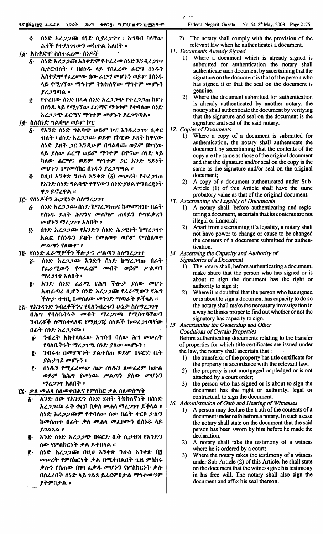- ~, {t~1.' *hl..?.?~* {t~1.' *fl.ll..?"'T* : h..,I1-o 11*"TW'* ሕ*ጎች የተደነገገውን መ*ከተል አለበት ፡፡
- $I\&\cdot$  አስቀድሞ ስለተፈረሙ ሰነዶች
	- $\ddot{\textbf{g}}$ · ሰሃድ *አረጋጋ* ጮ አስቀድም የተፈረመ ሰሃድ እንዲረ*ጋ*ገጥ ሲቀርብለት ፣ በሰ**ነ**ዱ ላይ የሰፌረው *ፌ*ርማ ሰነዱን *አስቀድሞ የፌረመው ሰው ፌርማ መሆኑን ወይም በስነዱ* ሳይ የሚገኘው ማኅተም ትክክለኛው ማኅተም መሆኑን  $\ell$ ረጋግጣል ።
	- I{' f+l.I1(1}< *{t~Y:* 111\." {t~1.' *hl..?.?6f!-* f.,.l..?.?m hl1'~ በሰነ*ዱ* ላይ የሚገኘው *ሬርማና ማኅተም የተባ*ለው ሰነድ *አረጋጋጭ ፊርማና ማኅተም መሆኑን ያረጋግ*ጣል፡፡

#### II{' *hA{t~Y:* "'AI16f!- *OJf,9"* 11"(

- $\tilde{\textbf{b}}$ . የአንድ ሰነድ ግልባጭ ወይም ኮፒ እንዲረ*ጋ*ገጥ ሲቀር ብለት ፣ ሰ**ነድ አረ***ጋጋ***ጭ ወይም የኮፒው ይዘት ከዋና**ው ሰነድ ይዘት *ጋ*ር እንዲሁም በግልባጮ ወይም በኮፒው *"f, 11\(1}<*keD? *tDf,9" 117..,.,.9"* I1CPCj(l}<*{t~Y: "f,* ካለው *ሌርማና ወይም ማኅተም ጋር አንድ ዓይነት መሆኑን በማመ*ሳከር ሰ*ነዱን ያረጋግ*ጣል ፡፡
- I{' I1ttO *h'}+". '}o-h h'}+".* (li) *IIDIPl.""* f.,.l..?1m fh'}1.' *{t~Y:* "'AI16f!- fCPCj(l}<'}*{t~Y:* lOA *fl17hl.jf~""* ዋ*ጋ* ይኖረዋል ፡፡
- Ii:' f{t~f.:f'} ih.?ce~"" *hl\I17l..?1T*
	- $\delta$ <sup>.</sup> ሰነድ አረ*ጋጋ*ጭ ሰነድ ከማረ*ጋ*ገጡና ከመመዝገቡ በፊት f{t~~ *f,U"" ih"''}Cj* IIDAI19" *ml1f,'} fl17f.:1>l.'} መሆኑን ማረጋገ*ጥ አለበት ፡፡
	- I{' *{t~Y: hl..?.?~ fh'}Y:'} {t~Y:* ih.?ce~"" hl17l..?1'1' *hAc:.* f{t~~ '} *f,U""* fllDI\OJ'I' *OJf,9" fl17hl\OJ'I'* ሥልጣን የ**ለው**ም ፡፡
- Ii' f{t~Y: L&-lI7.sP:f'} *:f1\-:rCj* P'AffI'} *hl\I17l..?1'1'*
	- $\bar{\mathbf{A}}$  *(h)ድ አረጋጋ*ጮ *አንድን ሰነድ ከማረጋገ*ጡ በፊት<br>*የፌራሚውን የመፌረም መብት ወይም ሥ*ልጣን f *L&-II7.(I}<'}* f lID*Ll.9"* IID-o"" OJ*f,9"* P' A ffI'} *ማረጋገ*ጥ አለበት።
	- I{' *h,}~: {t~Y: L&-I17.* <sup>f</sup> ih.., *:fl\-:r 11\(1}< IIDI1'~* hm &-ffl& fl.1f'} 1'1~*Y: hl..?.?* ~ f *L&-II7.(I}<'}*f ih.., *ችሎታ ተገ*ቢ በመሰለው *መንገድ ማጣራት ይች*ላል ፡፡
- ፲<u>፫</u>· *የአንዳንድ ንብረቶችን*ና የባለንብረቱን ሁኔታ ስለማረ*ጋ*ገጥ ° '}-I1l..,.:f *l\l17h"'''I\tt:* fIl7.U.?~ {t~p.:f hllDl..?1ff1T(I}< በሕግ የባለቤትንት **መብት ማረ***ጋገ***ጫ የሚሰ**ጥባቸውን Ok"" *{t~Y: hl.'?'?""* =- i'
	- $\tilde{\textbf{g}}$ · *'*ንብረት አስተላላፊው አግባብ ባለው ሕግ መሠረት fl11\I1.""~"" *117l..?1651{t~Y: 11\OJ. IIDI1'~,}* i
	- g. ንብሩቱ በ<mark>መያዣ</mark>ነት ያልተሰጠ ወይም በፍርድ ቤት , ... ... ... ...<br>*ያልታገ*ደ *መ*ሆኑን ፣
	- f· ሰ*ነዱን የሚፌረመው ሰው ሰነዱን ስመፌረም ከውል ወይም* ከሕግ የመነጨ ሥልጣን ያለው መሆኑን *ማረጋገ*ጥ አለበት ።
- II' *:1>l\* lID"''' *hl\IID+OACj* f9"htiC :1>A *hl\lIDhl17""*
	- $\overline{k^*}$  *እን*ድ ሰው የአንድን ሰንድ ይዘት ትክክለኛንት በሰንድ ° <mark>አረ*ጋጋ*ጭ ፊተ ቀርቦ በ*ቃ*ለ መሐሳ ማረ*ጋ*ገጥ ይተሳል ፡፡</mark> ሰነድ *አረጋጋ*ጭም የተባለው ሰው በፊት ቀርቦ ቃሉን *hllDhm-l:* Ok"" *:1>1\* lID"''' *IIDLOtJOc'}* O{t~~ *"f, f,1A"A* II
	- <u>፪</u>· አንድ ሰንድ አረ*ጋጋ*ጭ በፍርድ ቤት ሲ*ታ*ዘዝ የአንድን ሰው የምስክርነት ቃል ይቀበላል ፡፡
	- f.' *1'1",(- J\l..?.?""* OttO *h'}+". '}o-h h,}+~* (~ *መሠረት የምስክርነት ቃ*ል በሚቀበልበት ጊዜ ምስክሩ *ቃ*ሎን የሰጠው በገዛ ፌቃ*ዱ መ*ሆኑን የምስክርነት ቃሉ O{tLl.O"" *(a".(- "f,* 1A~ *f,LC9"O:rA* 117..,.,.tJOc'}9" ያትምበታል **፡፡**
- 2) The notary shall comply with the provision of the relevant law when he authenticates a document.
- *11. Documents Already Signed*

! ~

- 1) Where a document which is already signed is submitted for authentication the notary shall authenticate such document by ascertaining that the signature on the document is that of the person who has signed it or that the seal on the document is genuine.
- 2) Where the document submitted for authentication is already authenticated by another notary, the notary shall authenticate the document by verifying that the signature and seal on the document is the signature and seal of the said notary.
- *12. Copies* of *Documents*
	- 1) Where a copy of a document is submitted for authentication, the notary shall authenticate the document by ascertianing that the contents of the copy are the same as those of the original document and that the signature and/or seal on the copy is the same as the signature and/or seal on the original document;
	- 2) A copy of a document authenticated under Sub-Article (1) of this Article shall have the same probatory value as that of the original document.
- *13. Ascertaining the Legality* of *Documents*
	- 1) A notary shall, before authenticating and registering a document, ascertain that its contents are not illegal or immoral;
	- 2) Apart from ascertaining it's legality, a notary shall not have power to change or cause to be changed the contents of a document submitted for authentication.
- *14. Ascertaing* the *Capacity and Authority* of *Signatories* of *a Document*
	- 1) The notary shall, before authenticating a document, make shure that the person who has signed or is about to sign the document has the right or authority to sign it;
	- 2) Where it is doubtful that the person who has signed or is about to sign a document has capacity to do so the notary shall make the necessary investigation in a way he thinks proper to find out whether or not the signatory has capacity to sign.
- *15. Ascertaining the Ownership and Other Conditions* of *Certain Properties*

Before authenticating documents relating to the transfer of properties for which title certificates are issued under the law, the notary shall ascertain that: .

- 1) the transferor of the property has title certificate for the property in accordance with the relevant law;
- 2) the property is not mortgaged or pledged or is not attached by a court order;
- 3) the person who has signed or is about to sign the document has the right or authority, legal or contractual, to sign the document.
- *16. Administration* of *Oath and Hearing* of *Witnesses*
	- 1) A person may declare the truth of the contents of a document under oath before a notary. In such a case the notary shall state on the document that the said person has been sworn by him before he made the declaration;
	- 2) A notary shall take the testimony of a witness where he is ordered by a court;
	- 3) Where the notary takes the testimony of a witness under Sub-Article (2) of this Article, he shall state on the document that the witness give his testimony in his free will. The notary shall also sign the document and affix his seal thereon.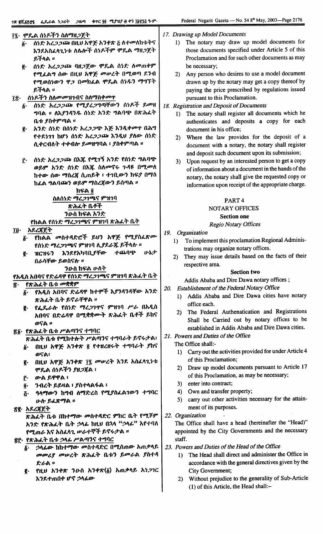| ፲፯· ሞዴል ሰነዶችን ስለማዘጋጀት                                                | 17. Drawing up Model Documents                                            |
|----------------------------------------------------------------------|---------------------------------------------------------------------------|
| ሰንድ አረ <i>ጋጋ</i> ጮ በዚህ አዋጅ አንቀጽ ፩ ለተመለከቱትና<br>$\boldsymbol{b}$ .     | The notary may draw up model documents for<br>1)                          |
| እንደአስፈላጊነቱ ለሴሎች ሰነዶችም ሞዴል ማዘጋጀት                                      | those documents specified under Article 5 of this                         |
| ይችላል ።                                                               | Proclamation and for such other documents as may                          |
| ሰነድ አረ <i>ጋጋ</i> ጩ ባዘ <i>ጋ</i> ጀው ሞጼል ሰነድ ለመጠቀም<br>ğ.                | be necessary;                                                             |
| የሚፌልግ ሰው በዚህ አዋጅ መሠረት በሚወጣ ደንብ                                       | Any person who desires to use a model document<br>2)                      |
| የሚወሰነውን ዋ <i>ጋ</i> በመክፌል ሞዴል ሰነ <i>ዱ</i> ን ማግኘት                      | drawn up by the notary may get a copy thereof by                          |
| ይችላል ።                                                               | paying the price prescribed by regulations issued                         |
| ሰነዶችን ስለ <i>መመ</i> ዝገብና ስለማስቀመጥ<br>ï£∙                               | pursuant to this Proclamation.                                            |
| ሰነድ አረጋጋጩ የሚያረጋግጣቸውን ሰነዶች ይመዘ<br>$\delta$ .                          | 18. Registration and Deposit of Documents                                 |
| ግባል ። ለእያንዳንዱ ሰነድ አንድ ግልባጭ በጽሕፈት                                     | The notary shall register all documents which he<br>1)                    |
| ቤቱ ያስቀምጣል ፡፡                                                         | authenticates and deposits a copy for each                                |
| አንድ ሰነድ በሰነድ አረ <i>ጋጋ</i> ጭ እጅ እንዲቀመዋ በሕግ<br>ğ.                      | document in his office;                                                   |
| የተደነገገ ከሆነ ሰነድ አረ <i>ጋጋ</i> ጮ እንዲህ ያለው ሰነድ                           | Where the law provides for the deposit of a                               |
| ሲቀርብለት ተቀብሎ ይመዘግባል ፣ ያስቀምጣል ።                                        | 2)<br>document with a notary, the notary shall register                   |
|                                                                      |                                                                           |
| ሰነድ አረ <i>ጋጋ</i> ጮ በእጁ የሚገኝ አንድ የሰነድ ግልባ <del>ጭ</del>                | and deposit such document upon its submission;                            |
| ŗ٠<br>ወይም አንድ ሰነድ በእጁ ስለመኖሩ ጉዳዩ በሚመለ                                 | Upon request by an interested person to get a copy<br>3)                  |
| ከተው ሰው ማስረጃ ሲጠይቅ ፣ ተገቢውን ክፍያ በማስ                                     | of information about a document in the hands of the                       |
| ከፌል ግልባጮን ወይም ማስረኛውን ይሰጣል ፡፡                                         | notary, the notary shall give the requested copy or                       |
|                                                                      | information upon receipt of the appropriate charge.                       |
| ክፍል ፬                                                                |                                                                           |
| ስለሰነድ ማረ <i>ጋገ</i> ጫና ምዝገባ<br>ጽሕፈት ቤቶች                               | PART <sub>4</sub>                                                         |
| ንውስ ክፍል አንድ                                                          | NOTARY OFFICES                                                            |
|                                                                      | <b>Section one</b>                                                        |
| የክልል የሰነድ ማረ <i>ጋገ</i> ጫና ምዝገባ ጽሕፈት ቤት                               | <b>Regio Notary Offices</b>                                               |
| አደረጃጀት<br>ŢØ∙                                                        | Organization<br>19.                                                       |
| ፩· የክልል መስተዳድሮች ይህን አዋጅ የሚያስፈጽሙ                                      | To implement this proclamation Regional Adminis-<br>1)                    |
| የሰነድ ማረጋገጫና ምዝገባ ሊያደራጁ ይችላሉ ።<br>ተጨባጭ<br>いとさ                         | trations may organize notary offices.                                     |
| እንደየአካባቢያቸው<br>ዝርዝሩን<br>ğ.                                           | They may issue details based on the facts of their<br>2)                  |
| በራሳቸው ይወስናሉ ፡፡                                                       | respective area.                                                          |
| ንውስ ክፍል ሁለት                                                          | <b>Section two</b>                                                        |
| የአዲስ አበባና የድሬዳዋ የሰነድ ማረ <i>ጋገ</i> ጫና ምዝገባ ጽሕፈት ቤት<br>የጽሕፈት ቤቱ መቋቋም   | Addis Ababa and Dire Dawa notary offices;                                 |
| る・<br>፩·   የአዲስ አበባና ድሬዳዋ ከተሞች እያንዳንዳቸው አንድ                          | Establishment of the Federal Notary Office<br>20.                         |
| ጽሕፈት ቤት ይኖራቸዋል ።                                                     | 1) Addis Ababa and Dire Dawa cities have notary                           |
| የፌዶራሉ የሰነድ ማረ <i>ጋገ</i> ዋና ምዝገባ ሥራ በአዲስ                              | office each.                                                              |
| g.<br>አበባና በድሬዳዋ በሚቋቋሙት ጽሕፈት ቤቶች ይከና                                 | 2) The Federal Authenatication and Registrations                          |
| ወናል ፡፡                                                               | Shall be Carried out by notary offices to be                              |
|                                                                      | established in Addis Ababa and Dire Dawa cities.                          |
| <u>ኛ</u> ል· የጽሕፌት ቤቱ ሥልጣንና ተግባር<br>ጽሕፈት ቤቱ የሚከተሉት ሥልጣንና ተግባራት ይኖሩታል፣ | 21. Powers and Duties of the Office                                       |
|                                                                      | The Office shall:-                                                        |
| በዚህ አዋጅ አንቀጽ ፬ የተዘረዘሩት ተግባራት ያከና<br>δ∙                               | 1) Carry out the activities provided for under Article 4                  |
| ወናል፣                                                                 | of this Proclamation;                                                     |
| በዚህ አዋጅ አንቀጽ ፲፯ መሠረት እንደ አስፈላጊነቱ<br>ę.<br>ምጼል ሰነዶችን <i>ያዘጋ</i> ጀል ፣  | 2) Draw up model documents pursuant to Article 17                         |
|                                                                      | of this Proclamation, as may be necessary;                                |
| ውል ይዋዋል ፣<br>ŗ٠                                                      | enter into contract;<br>3)                                                |
| ንብረት ይይዛል ፣ ያስተላልፋል ፣<br>ğ.                                          | 4) Own and transfer property;                                             |
| ዓላማውን ከግብ ለማድረስ የሚያስፌልገውን ተግባር<br>Ŀ٠                                 | 5) carry out other activities necessary for the attain-                   |
| ሁሉ ይፈጽማል ፡፡                                                          | ment of its purposes.                                                     |
| <u>ኛ</u> ያ· አደረጃጀት                                                   |                                                                           |
| ጽሕፌት ቤቱ በከተማው መስተዳድር ምክር ቤት የሚሾም                                     | 22. Organization<br>The Office shall have a head (hereinafter the "Head)" |
| አንድ የጽሕፈት ቤት ኃላፊ ከዚህ በኋላ "ኃላፊ" እየተባለ                                 |                                                                           |
| የሚጠራ እና አስፈላጊ ሥራተኞች ይኖሩታል ፡፡                                         | appointed by the City Governments and the necessary                       |
| ፳፫· የጽሕፈት ቤቱ ኃላፊ ሥልጣንና ተግባር                                          | staff.                                                                    |
| ፩·    ኃላፊው  ከከተማው   መስተዳድር  በሚሰጠው  አጠቃላይ                             | 23. Powers and Duties of the Head of the Office                           |
| መመሪያ መሠረት ጽሕፈት ቤቱን ይመራል ያስተዳ                                         | The Head shall direct and administer the Office in<br>$\bf{D}$            |
| ድራል ።                                                                |                                                                           |
|                                                                      | accordance with the general directives given by the                       |
| የዚህ አንቀጽ ንውስ አንቀጽ(፩) አጠቃላይ አነጋገር<br>ğ.                               | City Government;                                                          |
| እንደተጠበቀ ሆኖ ኃላፊው                                                      | Without prejudice to the generality of Sub-Article<br>2)                  |
|                                                                      | (1) of this Article, the Head shall:-                                     |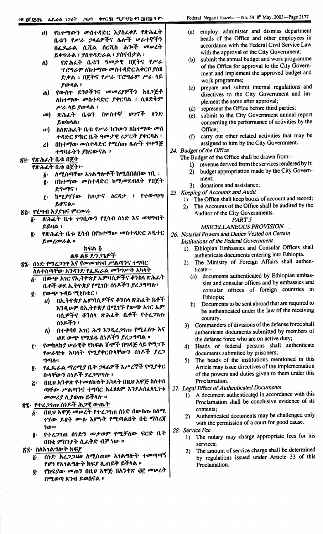| U) | የከተማውን መስተዳድር እያስፈቀደ የጽሕፌት<br>ቤቱን የሥራ ኃላፊዎችና ሴሎች ሥራተኞችን                                         |  |
|----|-------------------------------------------------------------------------------------------------|--|
|    | በፌዴራል ሲቪል ሰርቪስ ሕጕች መሠረት <br>ይቀተራል ፣ ያስተዳድራል ፣ ያሰናብታል ፣                                          |  |
| (Λ | የጽሕ <b>ፈት ቤቱን ዓ</b> መታዊ በጀትና የሥራ<br>ፕሮግራም ለከተማው መስተዳድር አቅርቦ ያስጸ  <br>ድቃል ፣ በጀትና የሥራ ፕሮግራም ሥራ ላይ |  |

- ያውሳል ፣ የውስጥ ደንቦችንና መመሪያዎችን አዘጋጅቶ  $\mathbf{d}$ ለከተማው መስተዳድር ያቀርባል ፣ ሲጸድቅም ሥራ ላይ ያውላል ፣
- ቤቱን ወንኖች ዘንድ በሦስተኛ መ) ጽሕፈት ይወክላል፣
- ስለጽሕፈት ቤቱ የሥራ ክንውን ለከተማው መስ மி ተዳድር ምክር ቤት ዓመታዊ ሪፖርት ያቀርባል ፣
- በከተማው መስተዳድር የሚሰጡ ሴሎች ተዛማጅ  $\mathbf{z}$ ተግባራትን ያከናውናል ፡፡

## ኛ፬· የጽሕፈት ቤቱ በጀት

#### የጽሕፌት ቤቱ በጀት፦

- ለሚሰጣቸው አገልግሎቶች ከሚሰበሰበው ገቢ ፡  $\boldsymbol{\delta}$ .
- በከተማው መስተዳድር ከሚመደብለት የበጀት ğ. **ደ**ህአማና ፣
- ከሚያገኘው ስጦታና ዕርዳታ ፣ የተውጣጣ ŗ. ይሆናል።
- ጽ<u>ሯ</u>· የሂሣብ አ*ያያዝና ምርመራ* 
	- $\delta$  **8. 8. A.L.** The Tall of PLAN ASE AS or PLAN **ይይዛል** ፣
	- የጽሕፈት ቤቱ ሂሳብ በየከተማው መስተዳድር አዲተር g. ይመረመራል ።

### ክፍል ሯ

## ልዩ ልዩ ድንጋጌዎች

<u>ጽያ፦ ሰነድ የማረጋገዋ እና የመመዝገብ ሥልጣንና ተግባር</u> <u>ስለተሰጣቸው አንዳንድ የፌዴራል መንግሥት አካላት</u>

- በውጭ አገር የኢትዮጵያ ኤምባሲዎችና ቆንስላ ጽሕፌት ة. ቤቶች ወደ ኢትዮጵያ የሚገቡ ሰነዶችን ያረጋግጣሉ፣
- የውጭ ጉዳይ ሚኒስቴር ፣ ę.
	- *ሀ*) በኢትዮጵ*ያ* ኤምባሲዎችና ቆንስላ ጽሕፌት ቤቶች እንዲሁም በኢትዮጵያ በሚገኙ የውጭ አገር ኤም ባሲዎችና ቆንስላ ጽሕፈት ቤቶች የተረ*ጋገ*ጡ ሰነዶችን ፣
	- በተቀባዩ አገር ሕግ እንዲረ*ጋገ*ጡ የሚፈለጉ እና ለ) -ወደ ውጭ የሚሄዱ ሰነዶችን ያረጋግጣል ።
- የመከላከያ ሥራዊት የክፍል ሹሞች በግዳጅ ላይ የሚገኙ Ë. የሥራዊቱ አባላት የሚያቀርቡላቸውን ሰነዶች ያረ*ጋ* ግጣሉ፣
- የፌዴራል ማረሚያ ቤት ኃላፊዎች እሥረኞች የሚያቀር õ. በ<mark>ኅቸውን ሰ</mark>ነዶች ያረ*ጋግ*ጣሉ ፣
- በዚህ አንቀጽ የተመለከቱት አካላት በዚህ አዋጅ ስለተሰ  $\ddot{G}$ ጣቸው ሥልጣንና ተ<mark>ግ</mark>ባር አፈጸጸም እንደአስፈላጊነቱ *መመሪያ ሊያወ*ጡ ይችላሉ ፡፡

## ጽ፯· የተረ*ጋገ*ጡ ሰንዶች ሕ*ጋ*ዊ ውጤት

- በዚሀ አዋጅ መሥረት የተረጋገጠ ሰነድ በውስጡ ስለሚ  $\boldsymbol{\delta}$ . *ገኘው ይዘት ሙ*ሉ እምነት የሚጣልበት በቂ ማስረጃ ነው።
- የተረ*ጋገ*ጠ ሰንድን መቃወም የሚቻለው ፍርድ ቤት g. በበቂ ምክንያት ሲፈቅድ ብቻ ነው ።
- <u>ጽ</u>ቌ· ስለአ*ገ*ልግሎት ክፍያ
	- ሰንድ እረ*ጋጋ*ጬ ለሚሰጠው አገልግሎት ተመጣጣኝ  $\oint$ የሆነ የአገልግሎት ክፍያ ሊጠይቅ ይችላል ፡፡
		- የክፍያው መጠን በዚሀ አዋጅ በአንቀጽ ፴፫ መሠረት ë. በሚወጣ ደንብ ይወሰናል ፡፡
- employ, administer and dismiss department  $(a)$ heads of the Office and other employees in accordance with the Federal Civil Service Law with the approval of the City Government:
- (b) submit the annual budget and work programme of the Office for approval to the City Government and implement the approved budget and work programme;
- prepare and submit internal regulations and  $(c)$ directives to the City Government and implement the same after approval;
- (d) represent the Office before third parties;
- submit to the City Government annual report  $(e)$ concerning the performance of activities by the Office:
- carry out other related activities that may be  $(f)$ assigned to him by the City Government.
- 24. Budget of the Office

The Budget of the Office shall be drawn from:-

- 1) revenue derived from the services rendered by it;
- budget appropriation made by the City Govern- $2)$
- ment;
- donations and assistance;  $3)$
- 25. Keeping of Accounts and Audit
	- () The Office shall keep books of account and record;
	- The Accounts of the Office shall be audited by the  $2<sub>1</sub>$ Auditor of the City Governments.

## PART<sub>5</sub>

MSICELLANEOUS PROVISION

- 26. Notarial Powers and Duties Vested on Certain
	- Institutions of the Federal Government
		- 1) Ethiopian Embassies and Consular Offices shall authenticate documents entering into Ethiopia.
		- The Ministry of Foreign Affairs shall authen- $2)$ ticate:
			- documents authenticated by Ethiopian embas- $(a)$ sies and consular offices and by embassies and consular offices of foreign countries in Ethiopia;
			- b) Documents to be sent abroad that are required to be authenticated under the law of the receiving country.
		- 3) Commanders of divisions of the defense force shall authenticate documents submitted by members of the defense force who are on active duty;
		- 4) Heads of federal persons shall authenticate documents submitted by prisoners;
		- 5) The heads of the institutions mentioned in this Article may issue directives of the implementation of the powers and duties given to them under this Proclamation.

#### 27. Legal Effect of Authenticated Documents

- 1) A document authenticated in accordance with this Proclamation shall be conclusive evidence of its contents;
- 2) Authenticated documents may be challenged only with the permission of a court for good cause.
- 28. Service Fee
	- 1) The notary may charge appropriate fees for his services:
	- The amount of service charge shall be determined  $2)$ by regulations issued under Article 33 of this Proclamation.